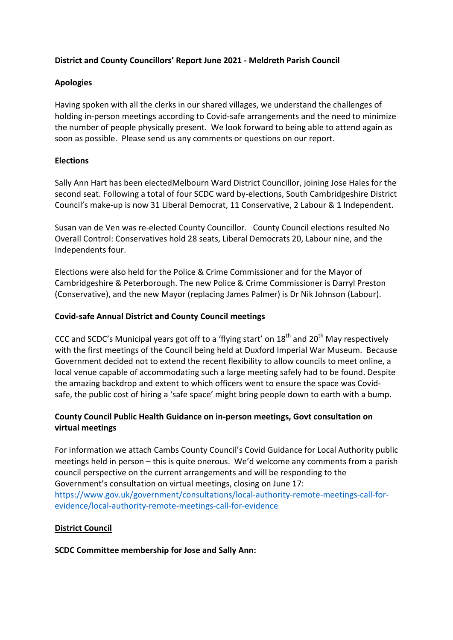## District and County Councillors' Report June 2021 - Meldreth Parish Council

## Apologies

Having spoken with all the clerks in our shared villages, we understand the challenges of holding in-person meetings according to Covid-safe arrangements and the need to minimize the number of people physically present. We look forward to being able to attend again as soon as possible. Please send us any comments or questions on our report.

## **Elections**

Sally Ann Hart has been electedMelbourn Ward District Councillor, joining Jose Hales for the second seat. Following a total of four SCDC ward by-elections, South Cambridgeshire District Council's make-up is now 31 Liberal Democrat, 11 Conservative, 2 Labour & 1 Independent.

Susan van de Ven was re-elected County Councillor. County Council elections resulted No Overall Control: Conservatives hold 28 seats, Liberal Democrats 20, Labour nine, and the Independents four.

Elections were also held for the Police & Crime Commissioner and for the Mayor of Cambridgeshire & Peterborough. The new Police & Crime Commissioner is Darryl Preston (Conservative), and the new Mayor (replacing James Palmer) is Dr Nik Johnson (Labour).

# Covid-safe Annual District and County Council meetings

CCC and SCDC's Municipal years got off to a 'flying start' on  $18<sup>th</sup>$  and  $20<sup>th</sup>$  May respectively with the first meetings of the Council being held at Duxford Imperial War Museum. Because Government decided not to extend the recent flexibility to allow councils to meet online, a local venue capable of accommodating such a large meeting safely had to be found. Despite the amazing backdrop and extent to which officers went to ensure the space was Covidsafe, the public cost of hiring a 'safe space' might bring people down to earth with a bump.

# County Council Public Health Guidance on in-person meetings, Govt consultation on virtual meetings

For information we attach Cambs County Council's Covid Guidance for Local Authority public meetings held in person – this is quite onerous. We'd welcome any comments from a parish council perspective on the current arrangements and will be responding to the Government's consultation on virtual meetings, closing on June 17: https://www.gov.uk/government/consultations/local-authority-remote-meetings-call-forevidence/local-authority-remote-meetings-call-for-evidence

## District Council

## SCDC Committee membership for Jose and Sally Ann: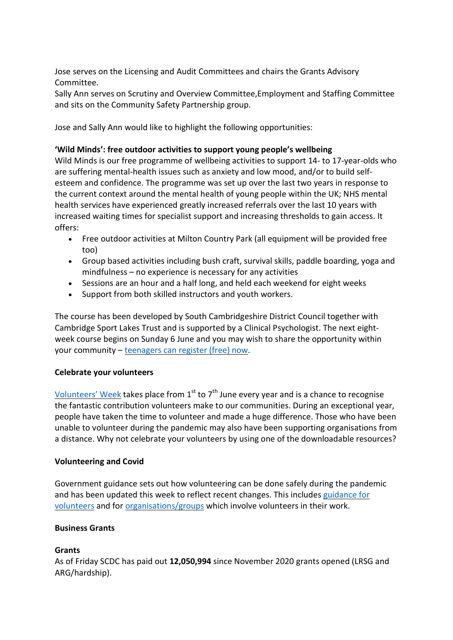Jose serves on the Licensing and Audit Committees and chairs the Grants Advisory Committee.

Sally Ann serves on Scrutiny and Overview Committee,Employment and Staffing Committee and sits on the Community Safety Partnership group.

Jose and Sally Ann would like to highlight the following opportunities:

#### 'Wild Minds': free outdoor activities to support young people's wellbeing

Wild Minds is our free programme of wellbeing activities to support 14- to 17-year-olds who are suffering mental-health issues such as anxiety and low mood, and/or to build selfesteem and confidence. The programme was set up over the last two years in response to the current context around the mental health of young people within the UK; NHS mental health services have experienced greatly increased referrals over the last 10 years with increased waiting times for specialist support and increasing thresholds to gain access. It offers:

- Free outdoor activities at Milton Country Park (all equipment will be provided free too)
- Group based activities including bush craft, survival skills, paddle boarding, yoga and mindfulness – no experience is necessary for any activities
- Sessions are an hour and a half long, and held each weekend for eight weeks
- Support from both skilled instructors and youth workers.

The course has been developed by South Cambridgeshire District Council together with Cambridge Sport Lakes Trust and is supported by a Clinical Psychologist. The next eightweek course begins on Sunday 6 June and you may wish to share the opportunity within your community – teenagers can register (free) now.

## Celebrate your volunteers

Volunteers' Week takes place from  $1<sup>st</sup>$  to  $7<sup>th</sup>$  June every year and is a chance to recognise the fantastic contribution volunteers make to our communities. During an exceptional year, people have taken the time to volunteer and made a huge difference. Those who have been unable to volunteer during the pandemic may also have been supporting organisations from a distance. Why not celebrate your volunteers by using one of the downloadable resources?

#### Volunteering and Covid

Government guidance sets out how volunteering can be done safely during the pandemic and has been updated this week to reflect recent changes. This includes guidance for volunteers and for organisations/groups which involve volunteers in their work.

#### Business Grants

#### Grants

As of Friday SCDC has paid out 12,050,994 since November 2020 grants opened (LRSG and ARG/hardship).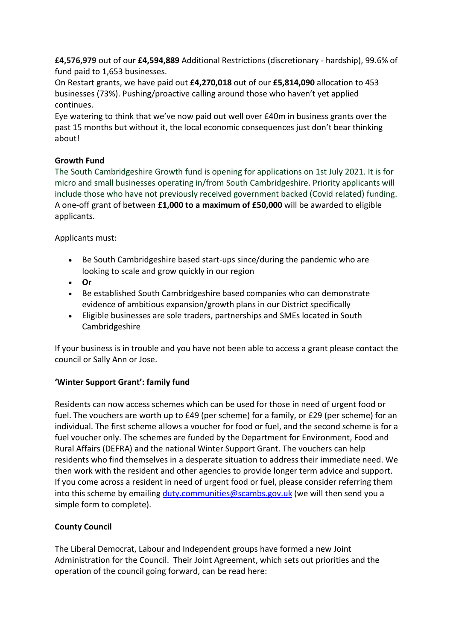£4,576,979 out of our £4,594,889 Additional Restrictions (discretionary - hardship), 99.6% of fund paid to 1,653 businesses.

On Restart grants, we have paid out £4,270,018 out of our £5,814,090 allocation to 453 businesses (73%). Pushing/proactive calling around those who haven't yet applied continues.

Eye watering to think that we've now paid out well over £40m in business grants over the past 15 months but without it, the local economic consequences just don't bear thinking about!

# Growth Fund

The South Cambridgeshire Growth fund is opening for applications on 1st July 2021. It is for micro and small businesses operating in/from South Cambridgeshire. Priority applicants will include those who have not previously received government backed (Covid related) funding. A one-off grant of between £1,000 to a maximum of £50,000 will be awarded to eligible applicants.

Applicants must:

- Be South Cambridgeshire based start-ups since/during the pandemic who are looking to scale and grow quickly in our region
- Or
- Be established South Cambridgeshire based companies who can demonstrate evidence of ambitious expansion/growth plans in our District specifically
- Eligible businesses are sole traders, partnerships and SMEs located in South Cambridgeshire

If your business is in trouble and you have not been able to access a grant please contact the council or Sally Ann or Jose.

# 'Winter Support Grant': family fund

Residents can now access schemes which can be used for those in need of urgent food or fuel. The vouchers are worth up to £49 (per scheme) for a family, or £29 (per scheme) for an individual. The first scheme allows a voucher for food or fuel, and the second scheme is for a fuel voucher only. The schemes are funded by the Department for Environment, Food and Rural Affairs (DEFRA) and the national Winter Support Grant. The vouchers can help residents who find themselves in a desperate situation to address their immediate need. We then work with the resident and other agencies to provide longer term advice and support. If you come across a resident in need of urgent food or fuel, please consider referring them into this scheme by emailing duty.communities@scambs.gov.uk (we will then send you a simple form to complete).

# County Council

The Liberal Democrat, Labour and Independent groups have formed a new Joint Administration for the Council. Their Joint Agreement, which sets out priorities and the operation of the council going forward, can be read here: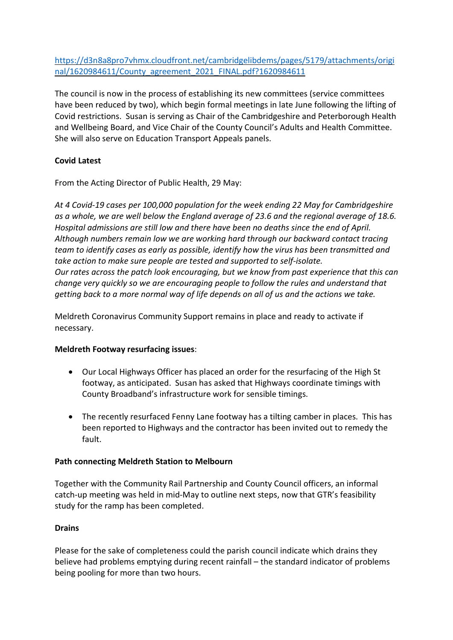https://d3n8a8pro7vhmx.cloudfront.net/cambridgelibdems/pages/5179/attachments/origi nal/1620984611/County\_agreement\_2021\_FINAL.pdf?1620984611

The council is now in the process of establishing its new committees (service committees have been reduced by two), which begin formal meetings in late June following the lifting of Covid restrictions. Susan is serving as Chair of the Cambridgeshire and Peterborough Health and Wellbeing Board, and Vice Chair of the County Council's Adults and Health Committee. She will also serve on Education Transport Appeals panels.

# Covid Latest

From the Acting Director of Public Health, 29 May:

At 4 Covid-19 cases per 100,000 population for the week ending 22 May for Cambridgeshire as a whole, we are well below the England average of 23.6 and the regional average of 18.6. Hospital admissions are still low and there have been no deaths since the end of April. Although numbers remain low we are working hard through our backward contact tracing team to identify cases as early as possible, identify how the virus has been transmitted and take action to make sure people are tested and supported to self-isolate. Our rates across the patch look encouraging, but we know from past experience that this can change very quickly so we are encouraging people to follow the rules and understand that getting back to a more normal way of life depends on all of us and the actions we take.

Meldreth Coronavirus Community Support remains in place and ready to activate if necessary.

## Meldreth Footway resurfacing issues:

- Our Local Highways Officer has placed an order for the resurfacing of the High St footway, as anticipated. Susan has asked that Highways coordinate timings with County Broadband's infrastructure work for sensible timings.
- The recently resurfaced Fenny Lane footway has a tilting camber in places. This has been reported to Highways and the contractor has been invited out to remedy the fault.

## Path connecting Meldreth Station to Melbourn

Together with the Community Rail Partnership and County Council officers, an informal catch-up meeting was held in mid-May to outline next steps, now that GTR's feasibility study for the ramp has been completed.

## Drains

Please for the sake of completeness could the parish council indicate which drains they believe had problems emptying during recent rainfall – the standard indicator of problems being pooling for more than two hours.